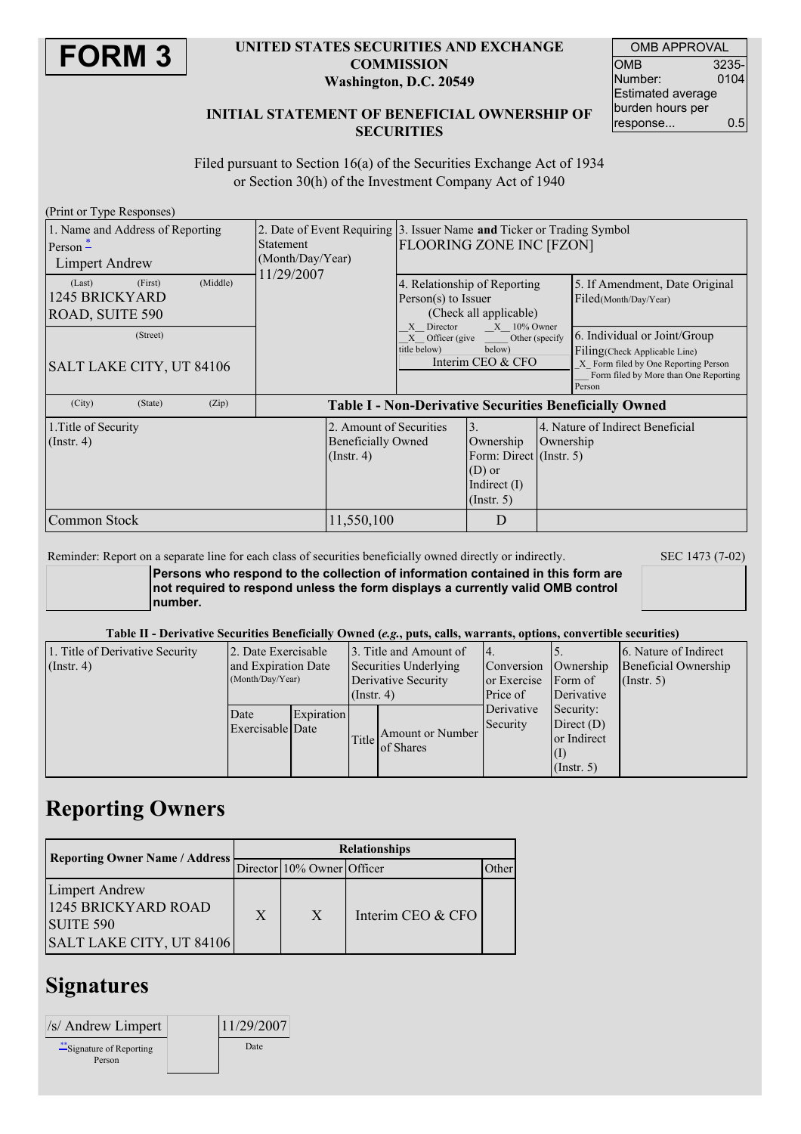

### **UNITED STATES SECURITIES AND EXCHANGE COMMISSION Washington, D.C. 20549**

| <b>OMB APPROVAL</b> |       |  |  |  |  |
|---------------------|-------|--|--|--|--|
| OMB                 | 3235- |  |  |  |  |
| Number:             | 0104  |  |  |  |  |
| Estimated average   |       |  |  |  |  |
| burden hours per    |       |  |  |  |  |
| response            | 0.5   |  |  |  |  |

### **INITIAL STATEMENT OF BENEFICIAL OWNERSHIP OF SECURITIES**

Filed pursuant to Section 16(a) of the Securities Exchange Act of 1934 or Section 30(h) of the Investment Company Act of 1940

| (Print or Type Responses)                                               |                                                                          |                                                                                                                                    |                                                                                                            |           |                                                                                                                                                           |  |  |
|-------------------------------------------------------------------------|--------------------------------------------------------------------------|------------------------------------------------------------------------------------------------------------------------------------|------------------------------------------------------------------------------------------------------------|-----------|-----------------------------------------------------------------------------------------------------------------------------------------------------------|--|--|
| 1. Name and Address of Reporting<br>Person $-$<br><b>Limpert Andrew</b> | <b>Statement</b><br>(Month/Day/Year)                                     | 2. Date of Event Requiring 3. Issuer Name and Ticker or Trading Symbol<br><b>FLOORING ZONE INC [FZON]</b>                          |                                                                                                            |           |                                                                                                                                                           |  |  |
| (Middle)<br>(First)<br>(Last)<br>1245 BRICKYARD<br>ROAD, SUITE 590      | 11/29/2007                                                               |                                                                                                                                    | 4. Relationship of Reporting<br>Person(s) to Issuer<br>(Check all applicable)                              |           | 5. If Amendment, Date Original<br>Filed(Month/Day/Year)                                                                                                   |  |  |
| (Street)<br>SALT LAKE CITY, UT 84106                                    |                                                                          | $X = 10\%$ Owner<br>Director<br>$\mathbf{x}$<br>Other (specify<br>$X$ Officer (give<br>below)<br>title below)<br>Interim CEO & CFO |                                                                                                            |           | 6. Individual or Joint/Group<br>Filing (Check Applicable Line)<br>X Form filed by One Reporting Person<br>Form filed by More than One Reporting<br>Person |  |  |
| (City)<br>(State)<br>(Zip)                                              | <b>Table I - Non-Derivative Securities Beneficially Owned</b>            |                                                                                                                                    |                                                                                                            |           |                                                                                                                                                           |  |  |
| 1. Title of Security<br>$($ Instr. 4 $)$                                | 2. Amount of Securities<br><b>Beneficially Owned</b><br>$($ Instr. 4 $)$ |                                                                                                                                    | $\overline{3}$ .<br>Ownership<br>Form: Direct (Instr. 5)<br>$(D)$ or<br>Indirect $(I)$<br>$($ Instr. 5 $)$ | Ownership | 4. Nature of Indirect Beneficial                                                                                                                          |  |  |
| Common Stock                                                            | 11,550,100                                                               |                                                                                                                                    | D                                                                                                          |           |                                                                                                                                                           |  |  |

#### Reminder: Report on a separate line for each class of securities beneficially owned directly or indirectly. SEC 1473 (7-02)

**Persons who respond to the collection of information contained in this form are not required to respond unless the form displays a currently valid OMB control number.**

#### Table II - Derivative Securities Beneficially Owned (e.g., puts, calls, warrants, options, convertible securities)

| 1. Title of Derivative Security<br>$($ Instr. 4 $)$ | 2. Date Exercisable<br>and Expiration Date<br>(Month/Day/Year) |            | 13. Title and Amount of<br>Securities Underlying<br>Derivative Security<br>$($ Instr. 4 $)$ |                               | 14.<br>Conversion<br>or Exercise Form of<br>Price of | Ownership<br>Derivative                                                    | 6. Nature of Indirect<br>Beneficial Ownership<br>(Insert. 5) |
|-----------------------------------------------------|----------------------------------------------------------------|------------|---------------------------------------------------------------------------------------------|-------------------------------|------------------------------------------------------|----------------------------------------------------------------------------|--------------------------------------------------------------|
|                                                     | Date<br>Exercisable Date                                       | Expiration | Title                                                                                       | Amount or Number<br>of Shares | Derivative<br>Security                               | Security:<br>Direct $(D)$<br>or Indirect<br>$\vert(1)$<br>$($ Instr. 5 $)$ |                                                              |

## **Reporting Owners**

| <b>Reporting Owner Name / Address</b>                                                 | <b>Relationships</b> |                            |                   |       |  |  |
|---------------------------------------------------------------------------------------|----------------------|----------------------------|-------------------|-------|--|--|
|                                                                                       |                      | Director 10% Owner Officer |                   | )ther |  |  |
| <b>Limpert Andrew</b><br>1245 BRICKYARD ROAD<br>SUITE 590<br>SALT LAKE CITY, UT 84106 | X                    | $\mathbf{X}$               | Interim CEO & CFO |       |  |  |

## **Signatures**

| /s/ Andrew Limpert                  | 11/29/2007 |
|-------------------------------------|------------|
| ** Signature of Reporting<br>Person | Date       |